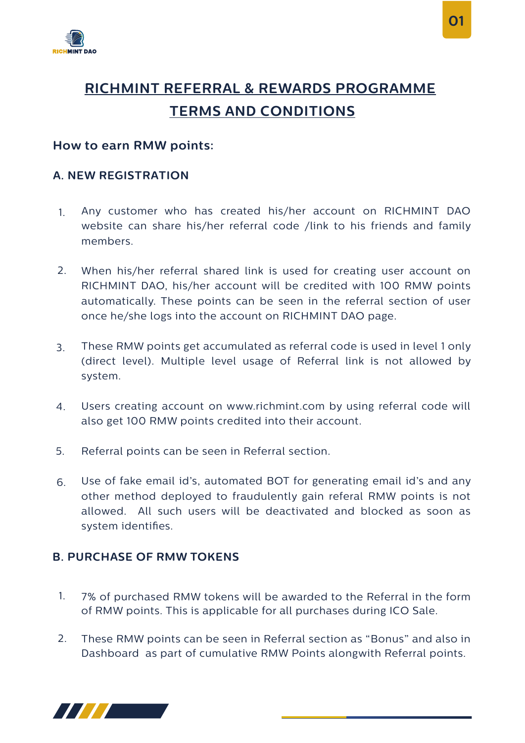

# **RICHMINT REFERRAL & REWARDS PROGRAMME TERMS AND CONDITIONS**

## **How to earn RMW points:**

### **A. NEW REGISTRATION**

- Any customer who has created his/her account on RICHMINT DAO website can share his/her referral code /link to his friends and family members. 1.
- When his/her referral shared link is used for creating user account on 2. RICHMINT DAO, his/her account will be credited with 100 RMW points automatically. These points can be seen in the referral section of user once he/she logs into the account on RICHMINT DAO page.
- These RMW points get accumulated as referral code is used in level 1 only (direct level). Multiple level usage of Referral link is not allowed by system. 3.
- Users creating account on www.richmint.com by using referral code will also get 100 RMW points credited into their account. 4.
- Referral points can be seen in Referral section. 5.
- Use of fake email id's, automated BOT for generating email id's and any other method deployed to fraudulently gain referal RMW points is not allowed. All such users will be deactivated and blocked as soon as system identifies. 6.

# **B. PURCHASE OF RMW TOKENS**

- 7% of purchased RMW tokens will be awarded to the Referral in the form of RMW points. This is applicable for all purchases during ICO Sale. 1.
- These RMW points can be seen in Referral section as "Bonus" and also in Dashboard as part of cumulative RMW Points alongwith Referral points. 2.